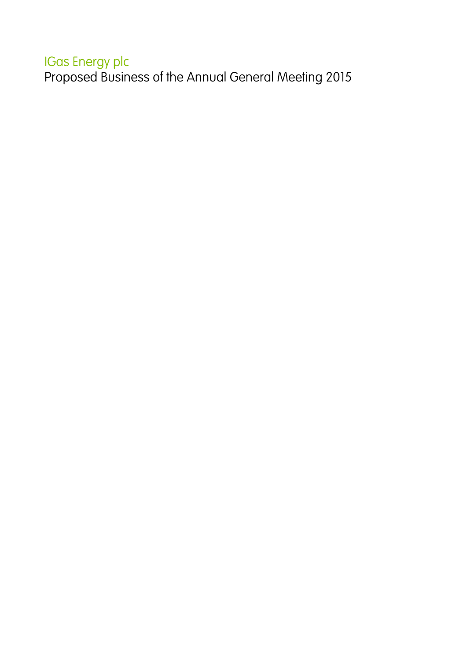## IGas Energy plc

Proposed Business of the Annual General Meeting 2015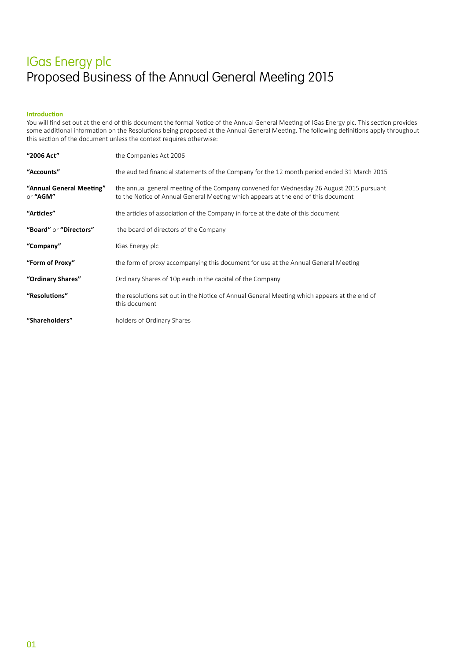### **Introduction**

You will find set out at the end of this document the formal Notice of the Annual General Meeting of IGas Energy plc. This section provides some additional information on the Resolutions being proposed at the Annual General Meeting. The following definitions apply throughout this section of the document unless the context requires otherwise:

| "2006 Act"                           | the Companies Act 2006                                                                                                                                                        |
|--------------------------------------|-------------------------------------------------------------------------------------------------------------------------------------------------------------------------------|
| "Accounts"                           | the audited financial statements of the Company for the 12 month period ended 31 March 2015                                                                                   |
| "Annual General Meeting"<br>or "AGM" | the annual general meeting of the Company convened for Wednesday 26 August 2015 pursuant<br>to the Notice of Annual General Meeting which appears at the end of this document |
| "Articles"                           | the articles of association of the Company in force at the date of this document                                                                                              |
| "Board" or "Directors"               | the board of directors of the Company                                                                                                                                         |
| "Company"                            | IGas Energy plc                                                                                                                                                               |
| "Form of Proxy"                      | the form of proxy accompanying this document for use at the Annual General Meeting                                                                                            |
| "Ordinary Shares"                    | Ordinary Shares of 10p each in the capital of the Company                                                                                                                     |
| "Resolutions"                        | the resolutions set out in the Notice of Annual General Meeting which appears at the end of<br>this document                                                                  |
| "Shareholders"                       | holders of Ordinary Shares                                                                                                                                                    |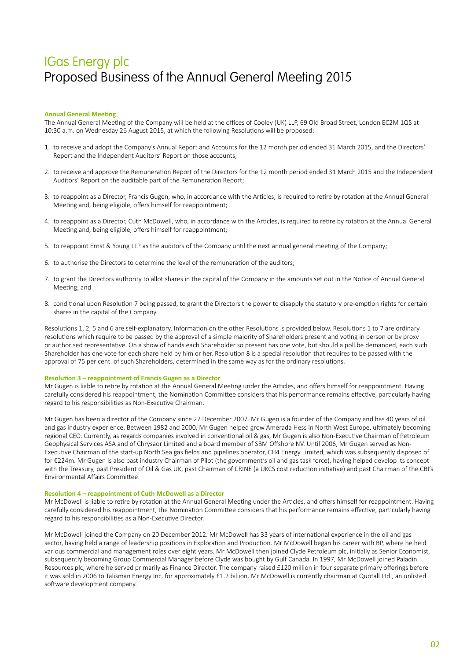### **Annual General Meeting**

The Annual General Meeting of the Company will be held at the offices of Cooley (UK) LLP, 69 Old Broad Street, London EC2M 1QS at 10:30 a.m. on Wednesday 26 August 2015, at which the following Resolutions will be proposed:

- 1. to receive and adopt the Company's Annual Report and Accounts for the 12 month period ended 31 March 2015, and the Directors' Report and the Independent Auditors' Report on those accounts;
- 2. to receive and approve the Remuneration Report of the Directors for the 12 month period ended 31 March 2015 and the Independent Auditors' Report on the auditable part of the Remuneration Report;
- 3. to reappoint as a Director, Francis Gugen, who, in accordance with the Articles, is required to retire by rotation at the Annual General Meeting and, being eligible, offers himself for reappointment;
- 4. to reappoint as a Director, Cuth McDowell, who, in accordance with the Articles, is required to retire by rotation at the Annual General Meeting and, being eligible, offers himself for reappointment;
- 5. to reappoint Ernst & Young LLP as the auditors of the Company until the next annual general meeting of the Company;
- 6. to authorise the Directors to determine the level of the remuneration of the auditors;
- 7. to grant the Directors authority to allot shares in the capital of the Company in the amounts set out in the Notice of Annual General Meeting; and
- 8. conditional upon Resolution 7 being passed, to grant the Directors the power to disapply the statutory pre-emption rights for certain shares in the capital of the Company.

Resolutions 1, 2, 5 and 6 are self-explanatory. Information on the other Resolutions is provided below. Resolutions 1 to 7 are ordinary resolutions which require to be passed by the approval of a simple majority of Shareholders present and voting in person or by proxy or authorised representative. On a show of hands each Shareholder so present has one vote, but should a poll be demanded, each such Shareholder has one vote for each share held by him or her. Resolution 8 is a special resolution that requires to be passed with the approval of 75 per cent. of such Shareholders, determined in the same way as for the ordinary resolutions.

#### **Resolution 3 – reappointment of Francis Gugen as a Director**

Mr Gugen is liable to retire by rotation at the Annual General Meeting under the Articles, and offers himself for reappointment. Having carefully considered his reappointment, the Nomination Committee considers that his performance remains effective, particularly having regard to his responsibilities as Non-Executive Chairman.

Mr Gugen has been a director of the Company since 27 December 2007. Mr Gugen is a founder of the Company and has 40 years of oil and gas industry experience. Between 1982 and 2000, Mr Gugen helped grow Amerada Hess in North West Europe, ultimately becoming regional CEO. Currently, as regards companies involved in conventional oil & gas, Mr Gugen is also Non-Executive Chairman of Petroleum Geophysical Services ASA and of Chrysaor Limited and a board member of SBM Offshore NV. Until 2006, Mr Gugen served as Non-Executive Chairman of the start-up North Sea gas fields and pipelines operator, CH4 Energy Limited, which was subsequently disposed of for €224m. Mr Gugen is also past industry Chairman of Pilot (the government's oil and gas task force), having helped develop its concept with the Treasury, past President of Oil & Gas UK, past Chairman of CRINE (a UKCS cost reduction initiative) and past Chairman of the CBI's Environmental Affairs Committee.

### **Resolution 4 – reappointment of Cuth McDowell as a Director**

Mr McDowell is liable to retire by rotation at the Annual General Meeting under the Articles, and offers himself for reappointment. Having carefully considered his reappointment, the Nomination Committee considers that his performance remains effective, particularly having regard to his responsibilities as a Non-Executive Director.

Mr McDowell joined the Company on 20 December 2012. Mr McDowell has 33 years of international experience in the oil and gas sector, having held a range of leadership positions in Exploration and Production. Mr McDowell began his career with BP, where he held various commercial and management roles over eight years. Mr McDowell then joined Clyde Petroleum plc, initially as Senior Economist, subsequently becoming Group Commercial Manager before Clyde was bought by Gulf Canada. In 1997, Mr McDowell joined Paladin Resources plc, where he served primarily as Finance Director. The company raised £120 million in four separate primary offerings before it was sold in 2006 to Talisman Energy Inc. for approximately £1.2 billion. Mr McDowell is currently chairman at Quotall Ltd., an unlisted software development company.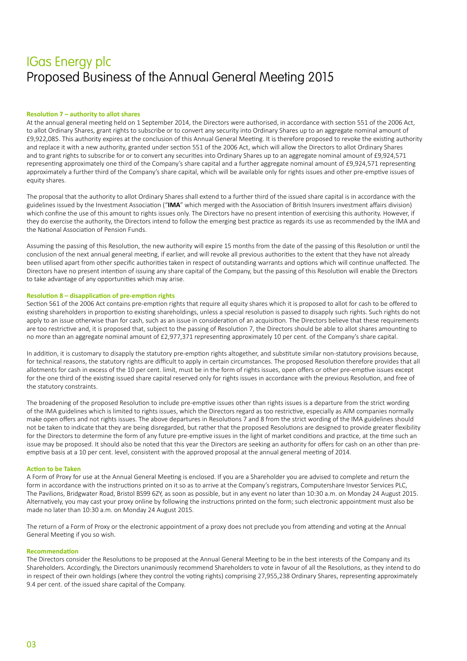## **Resolution 7 – authority to allot shares**

At the annual general meeting held on 1 September 2014, the Directors were authorised, in accordance with section 551 of the 2006 Act, to allot Ordinary Shares, grant rights to subscribe or to convert any security into Ordinary Shares up to an aggregate nominal amount of £9,922,085. This authority expires at the conclusion of this Annual General Meeting. It is therefore proposed to revoke the existing authority and replace it with a new authority, granted under section 551 of the 2006 Act, which will allow the Directors to allot Ordinary Shares and to grant rights to subscribe for or to convert any securities into Ordinary Shares up to an aggregate nominal amount of £9,924,571 representing approximately one third of the Company's share capital and a further aggregate nominal amount of £9,924,571 representing approximately a further third of the Company's share capital, which will be available only for rights issues and other pre-emptive issues of equity shares.

The proposal that the authority to allot Ordinary Shares shall extend to a further third of the issued share capital is in accordance with the guidelines issued by the Investment Association ("**IMA**" which merged with the Association of British Insurers investment affairs division) which confine the use of this amount to rights issues only. The Directors have no present intention of exercising this authority. However, if they do exercise the authority, the Directors intend to follow the emerging best practice as regards its use as recommended by the IMA and the National Association of Pension Funds.

Assuming the passing of this Resolution, the new authority will expire 15 months from the date of the passing of this Resolution or until the conclusion of the next annual general meeting, if earlier, and will revoke all previous authorities to the extent that they have not already been utilised apart from other specific authorities taken in respect of outstanding warrants and options which will continue unaffected. The Directors have no present intention of issuing any share capital of the Company, but the passing of this Resolution will enable the Directors to take advantage of any opportunities which may arise.

### **Resolution 8 – disapplication of pre‑emption rights**

Section 561 of the 2006 Act contains pre-emption rights that require all equity shares which it is proposed to allot for cash to be offered to existing shareholders in proportion to existing shareholdings, unless a special resolution is passed to disapply such rights. Such rights do not apply to an issue otherwise than for cash, such as an issue in consideration of an acquisition. The Directors believe that these requirements are too restrictive and, it is proposed that, subject to the passing of Resolution 7, the Directors should be able to allot shares amounting to no more than an aggregate nominal amount of £2,977,371 representing approximately 10 per cent. of the Company's share capital.

In addition, it is customary to disapply the statutory pre-emption rights altogether, and substitute similar non-statutory provisions because, for technical reasons, the statutory rights are difficult to apply in certain circumstances. The proposed Resolution therefore provides that all allotments for cash in excess of the 10 per cent. limit, must be in the form of rights issues, open offers or other pre-emptive issues except for the one third of the existing issued share capital reserved only for rights issues in accordance with the previous Resolution, and free of the statutory constraints.

The broadening of the proposed Resolution to include pre-emptive issues other than rights issues is a departure from the strict wording of the IMA guidelines which is limited to rights issues, which the Directors regard as too restrictive, especially as AIM companies normally make open offers and not rights issues. The above departures in Resolutions 7 and 8 from the strict wording of the IMA guidelines should not be taken to indicate that they are being disregarded, but rather that the proposed Resolutions are designed to provide greater flexibility for the Directors to determine the form of any future pre-emptive issues in the light of market conditions and practice, at the time such an issue may be proposed. It should also be noted that this year the Directors are seeking an authority for offers for cash on an other than preemptive basis at a 10 per cent. level, consistent with the approved proposal at the annual general meeting of 2014.

#### **Action to be Taken**

A Form of Proxy for use at the Annual General Meeting is enclosed. If you are a Shareholder you are advised to complete and return the form in accordance with the instructions printed on it so as to arrive at the Company's registrars, Computershare Investor Services PLC, The Pavilions, Bridgwater Road, Bristol BS99 6ZY, as soon as possible, but in any event no later than 10:30 a.m. on Monday 24 August 2015. Alternatively, you may cast your proxy online by following the instructions printed on the form; such electronic appointment must also be made no later than 10:30 a.m. on Monday 24 August 2015.

The return of a Form of Proxy or the electronic appointment of a proxy does not preclude you from attending and voting at the Annual General Meeting if you so wish.

#### **Recommendation**

The Directors consider the Resolutions to be proposed at the Annual General Meeting to be in the best interests of the Company and its Shareholders. Accordingly, the Directors unanimously recommend Shareholders to vote in favour of all the Resolutions, as they intend to do in respect of their own holdings (where they control the voting rights) comprising 27,955,238 Ordinary Shares, representing approximately 9.4 per cent. of the issued share capital of the Company.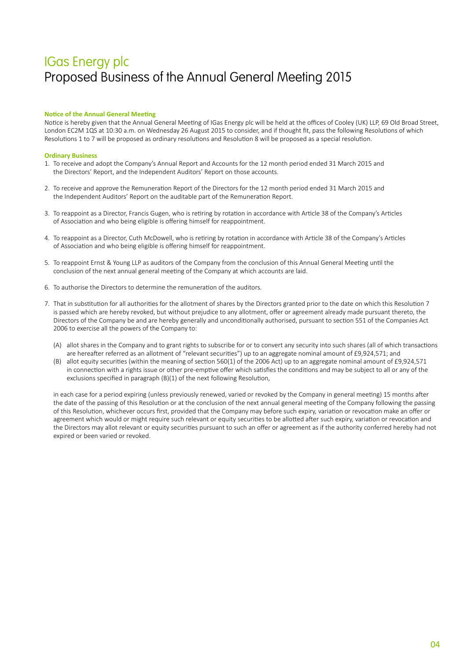## **Notice of the Annual General Meeting**

Notice is hereby given that the Annual General Meeting of IGas Energy plc will be held at the offices of Cooley (UK) LLP, 69 Old Broad Street, London EC2M 1QS at 10:30 a.m. on Wednesday 26 August 2015 to consider, and if thought fit, pass the following Resolutions of which Resolutions 1 to 7 will be proposed as ordinary resolutions and Resolution 8 will be proposed as a special resolution.

### **Ordinary Business**

- 1. To receive and adopt the Company's Annual Report and Accounts for the 12 month period ended 31 March 2015 and the Directors' Report, and the Independent Auditors' Report on those accounts.
- 2. To receive and approve the Remuneration Report of the Directors for the 12 month period ended 31 March 2015 and the Independent Auditors' Report on the auditable part of the Remuneration Report.
- 3. To reappoint as a Director, Francis Gugen, who is retiring by rotation in accordance with Article 38 of the Company's Articles of Association and who being eligible is offering himself for reappointment.
- 4. To reappoint as a Director, Cuth McDowell, who is retiring by rotation in accordance with Article 38 of the Company's Articles of Association and who being eligible is offering himself for reappointment.
- 5. To reappoint Ernst & Young LLP as auditors of the Company from the conclusion of this Annual General Meeting until the conclusion of the next annual general meeting of the Company at which accounts are laid.
- 6. To authorise the Directors to determine the remuneration of the auditors.
- 7. That in substitution for all authorities for the allotment of shares by the Directors granted prior to the date on which this Resolution 7 is passed which are hereby revoked, but without prejudice to any allotment, offer or agreement already made pursuant thereto, the Directors of the Company be and are hereby generally and unconditionally authorised, pursuant to section 551 of the Companies Act 2006 to exercise all the powers of the Company to:
	- (A) allot shares in the Company and to grant rights to subscribe for or to convert any security into such shares (all of which transactions are hereafter referred as an allotment of "relevant securities") up to an aggregate nominal amount of £9,924,571; and
	- (B) allot equity securities (within the meaning of section 560(1) of the 2006 Act) up to an aggregate nominal amount of £9,924,571 in connection with a rights issue or other pre-emptive offer which satisfies the conditions and may be subject to all or any of the exclusions specified in paragraph (B)(1) of the next following Resolution,

in each case for a period expiring (unless previously renewed, varied or revoked by the Company in general meeting) 15 months after the date of the passing of this Resolution or at the conclusion of the next annual general meeting of the Company following the passing of this Resolution, whichever occurs first, provided that the Company may before such expiry, variation or revocation make an offer or agreement which would or might require such relevant or equity securities to be allotted after such expiry, variation or revocation and the Directors may allot relevant or equity securities pursuant to such an offer or agreement as if the authority conferred hereby had not expired or been varied or revoked.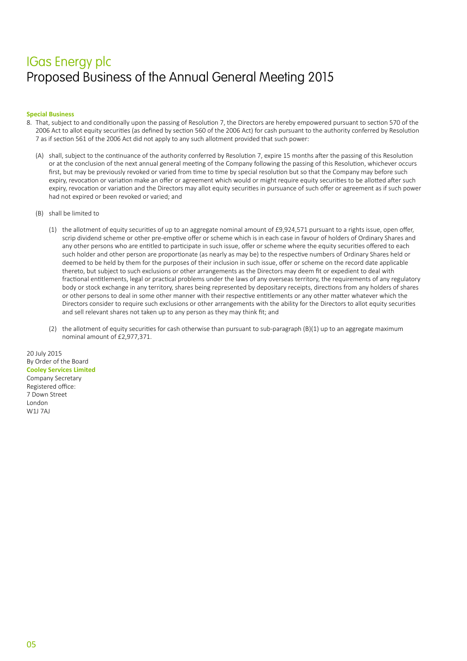### **Special Business**

- 8. That, subject to and conditionally upon the passing of Resolution 7, the Directors are hereby empowered pursuant to section 570 of the 2006 Act to allot equity securities (as defined by section 560 of the 2006 Act) for cash pursuant to the authority conferred by Resolution 7 as if section 561 of the 2006 Act did not apply to any such allotment provided that such power:
	- (A) shall, subject to the continuance of the authority conferred by Resolution 7, expire 15 months after the passing of this Resolution or at the conclusion of the next annual general meeting of the Company following the passing of this Resolution, whichever occurs first, but may be previously revoked or varied from time to time by special resolution but so that the Company may before such expiry, revocation or variation make an offer or agreement which would or might require equity securities to be allotted after such expiry, revocation or variation and the Directors may allot equity securities in pursuance of such offer or agreement as if such power had not expired or been revoked or varied; and
	- (B) shall be limited to
		- (1) the allotment of equity securities of up to an aggregate nominal amount of £9,924,571 pursuant to a rights issue, open offer, scrip dividend scheme or other pre‑emptive offer or scheme which is in each case in favour of holders of Ordinary Shares and any other persons who are entitled to participate in such issue, offer or scheme where the equity securities offered to each such holder and other person are proportionate (as nearly as may be) to the respective numbers of Ordinary Shares held or deemed to be held by them for the purposes of their inclusion in such issue, offer or scheme on the record date applicable thereto, but subject to such exclusions or other arrangements as the Directors may deem fit or expedient to deal with fractional entitlements, legal or practical problems under the laws of any overseas territory, the requirements of any regulatory body or stock exchange in any territory, shares being represented by depositary receipts, directions from any holders of shares or other persons to deal in some other manner with their respective entitlements or any other matter whatever which the Directors consider to require such exclusions or other arrangements with the ability for the Directors to allot equity securities and sell relevant shares not taken up to any person as they may think fit; and
		- (2) the allotment of equity securities for cash otherwise than pursuant to sub-paragraph  $(B)(1)$  up to an aggregate maximum nominal amount of £2,977,371.

20 July 2015 By Order of the Board **Cooley Services Limited** Company Secretary Registered office: 7 Down Street London W1J 7AJ